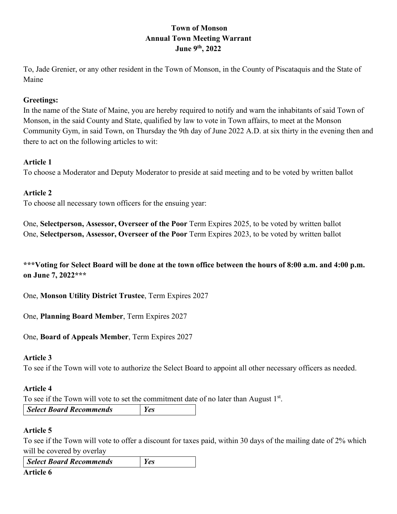# **Town of Monson Annual Town Meeting Warrant June 9th, 2022**

To, Jade Grenier, or any other resident in the Town of Monson, in the County of Piscataquis and the State of Maine

# **Greetings:**

In the name of the State of Maine, you are hereby required to notify and warn the inhabitants of said Town of Monson, in the said County and State, qualified by law to vote in Town affairs, to meet at the Monson Community Gym, in said Town, on Thursday the 9th day of June 2022 A.D. at six thirty in the evening then and there to act on the following articles to wit:

### **Article 1**

To choose a Moderator and Deputy Moderator to preside at said meeting and to be voted by written ballot

# **Article 2**

To choose all necessary town officers for the ensuing year:

One, **Selectperson, Assessor, Overseer of the Poor** Term Expires 2025, to be voted by written ballot One, **Selectperson, Assessor, Overseer of the Poor** Term Expires 2023, to be voted by written ballot

**\*\*\*Voting for Select Board will be done at the town office between the hours of 8:00 a.m. and 4:00 p.m. on June 7, 2022\*\*\***

One, **Monson Utility District Trustee**, Term Expires 2027

One, **Planning Board Member**, Term Expires 2027

### One, **Board of Appeals Member**, Term Expires 2027

### **Article 3**

To see if the Town will vote to authorize the Select Board to appoint all other necessary officers as needed.

### **Article 4**

To see if the Town will vote to set the commitment date of no later than August 1<sup>st</sup>.

*Select Board Recommends Yes*

# **Article 5**

To see if the Town will vote to offer a discount for taxes paid, within 30 days of the mailing date of 2% which will be covered by overlay

| Select Board Recommends | Yes |
|-------------------------|-----|
| Article 6               |     |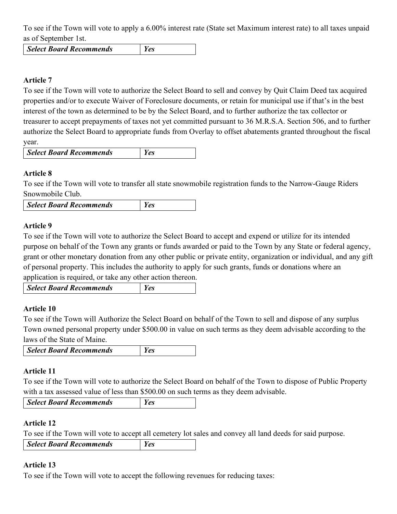To see if the Town will vote to apply a 6.00% interest rate (State set Maximum interest rate) to all taxes unpaid as of September 1st.

*Select Board Recommends Yes*

# **Article 7**

To see if the Town will vote to authorize the Select Board to sell and convey by Quit Claim Deed tax acquired properties and/or to execute Waiver of Foreclosure documents, or retain for municipal use if that's in the best interest of the town as determined to be by the Select Board, and to further authorize the tax collector or treasurer to accept prepayments of taxes not yet committed pursuant to 36 M.R.S.A. Section 506, and to further authorize the Select Board to appropriate funds from Overlay to offset abatements granted throughout the fiscal year.

| Select Board Recommends | <b>Yes</b> |  |
|-------------------------|------------|--|
|-------------------------|------------|--|

# **Article 8**

To see if the Town will vote to transfer all state snowmobile registration funds to the Narrow-Gauge Riders Snowmobile Club.

### **Article 9**

To see if the Town will vote to authorize the Select Board to accept and expend or utilize for its intended purpose on behalf of the Town any grants or funds awarded or paid to the Town by any State or federal agency, grant or other monetary donation from any other public or private entity, organization or individual, and any gift of personal property. This includes the authority to apply for such grants, funds or donations where an application is required, or take any other action thereon.

*Select Board Recommends Yes*

### **Article 10**

To see if the Town will Authorize the Select Board on behalf of the Town to sell and dispose of any surplus Town owned personal property under \$500.00 in value on such terms as they deem advisable according to the laws of the State of Maine.

| Select Board Recommends | Yes |
|-------------------------|-----|
|-------------------------|-----|

### **Article 11**

To see if the Town will vote to authorize the Select Board on behalf of the Town to dispose of Public Property with a tax assessed value of less than \$500.00 on such terms as they deem advisable.

|  | Select Board Recommends |  |
|--|-------------------------|--|
|--|-------------------------|--|

### **Article 12**

To see if the Town will vote to accept all cemetery lot sales and convey all land deeds for said purpose.

| Select Board Recommends | Yes |
|-------------------------|-----|
|                         |     |

### **Article 13**

To see if the Town will vote to accept the following revenues for reducing taxes: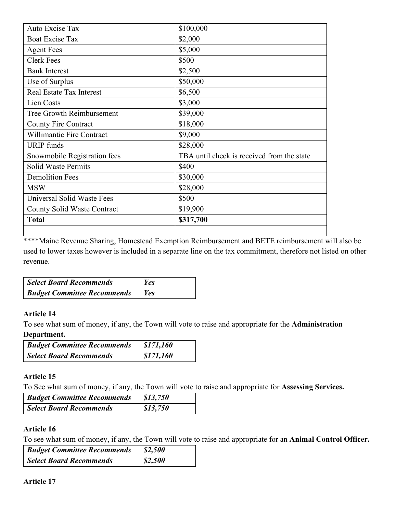| Auto Excise Tax                    | \$100,000                                  |
|------------------------------------|--------------------------------------------|
| <b>Boat Excise Tax</b>             | \$2,000                                    |
| <b>Agent Fees</b>                  | \$5,000                                    |
| <b>Clerk Fees</b>                  | \$500                                      |
| <b>Bank Interest</b>               | \$2,500                                    |
| Use of Surplus                     | \$50,000                                   |
| Real Estate Tax Interest           | \$6,500                                    |
| Lien Costs                         | \$3,000                                    |
| Tree Growth Reimbursement          | \$39,000                                   |
| <b>County Fire Contract</b>        | \$18,000                                   |
| <b>Willimantic Fire Contract</b>   | \$9,000                                    |
| <b>URIP</b> funds                  | \$28,000                                   |
| Snowmobile Registration fees       | TBA until check is received from the state |
| <b>Solid Waste Permits</b>         | \$400                                      |
| <b>Demolition Fees</b>             | \$30,000                                   |
| <b>MSW</b>                         | \$28,000                                   |
| Universal Solid Waste Fees         | \$500                                      |
| <b>County Solid Waste Contract</b> | \$19,900                                   |
| <b>Total</b>                       | \$317,700                                  |
|                                    |                                            |

\*\*\*\*Maine Revenue Sharing, Homestead Exemption Reimbursement and BETE reimbursement will also be used to lower taxes however is included in a separate line on the tax commitment, therefore not listed on other revenue.

| Select Board Recommends            | <b>Yes</b>  |
|------------------------------------|-------------|
| <b>Budget Committee Recommends</b> | $\vert$ Yes |

### **Article 14**

To see what sum of money, if any, the Town will vote to raise and appropriate for the **Administration Department.**

| <b>Budget Committee Recommends</b> | \$171,160 |
|------------------------------------|-----------|
| <b>Select Board Recommends</b>     | \$171,160 |

# **Article 15**

To See what sum of money, if any, the Town will vote to raise and appropriate for **Assessing Services.**

| <b>Budget Committee Recommends</b> | \$13,750 |
|------------------------------------|----------|
| Select Board Recommends            | 813,750  |

# **Article 16**

To see what sum of money, if any, the Town will vote to raise and appropriate for an **Animal Control Officer.**

| <b>Budget Committee Recommends</b> | \$2,500 |
|------------------------------------|---------|
| Select Board Recommends            | 82,500  |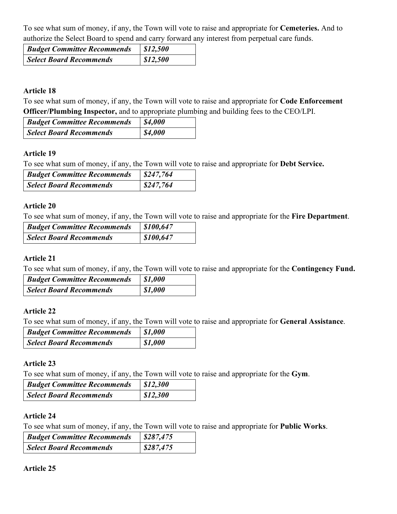To see what sum of money, if any, the Town will vote to raise and appropriate for **Cemeteries.** And to authorize the Select Board to spend and carry forward any interest from perpetual care funds.

| <b>Budget Committee Recommends</b> | \$12,500 |
|------------------------------------|----------|
| Select Board Recommends            | 812,500  |

### **Article 18**

To see what sum of money, if any, the Town will vote to raise and appropriate for **Code Enforcement Officer/Plumbing Inspector,** and to appropriate plumbing and building fees to the CEO/LPI.

| <b>Budget Committee Recommends</b> | <b>\$4,000</b> |
|------------------------------------|----------------|
| Select Board Recommends            | \$4,000        |

### **Article 19**

To see what sum of money, if any, the Town will vote to raise and appropriate for **Debt Service.**

| <b>Budget Committee Recommends</b> | \$247,764 |
|------------------------------------|-----------|
| Select Board Recommends            | \$247,764 |

#### **Article 20**

To see what sum of money, if any, the Town will vote to raise and appropriate for the **Fire Department**.

| <b>Budget Committee Recommends</b> | \$100,647 |
|------------------------------------|-----------|
| Select Board Recommends            | \$100,647 |

#### **Article 21**

To see what sum of money, if any, the Town will vote to raise and appropriate for the **Contingency Fund.**

| <b>Budget Committee Recommends</b> | $\int$ \$1,000 |
|------------------------------------|----------------|
| Select Board Recommends            | \$1,000        |

### **Article 22**

To see what sum of money, if any, the Town will vote to raise and appropriate for **General Assistance**.

| <b>Budget Committee Recommends</b> | $\vert$ \$1,000 |
|------------------------------------|-----------------|
| Select Board Recommends            | $\int$ \$1,000  |

#### **Article 23**

To see what sum of money, if any, the Town will vote to raise and appropriate for the **Gym**.

| <b>Budget Committee Recommends</b> | $\frac{1}{2}$ \$12,300 |
|------------------------------------|------------------------|
| Select Board Recommends            | $\vert$ \$12,300       |

#### **Article 24**

To see what sum of money, if any, the Town will vote to raise and appropriate for **Public Works**.

| <b>Budget Committee Recommends</b> | \$287,475 |
|------------------------------------|-----------|
| Select Board Recommends            | 8287,475  |

#### **Article 25**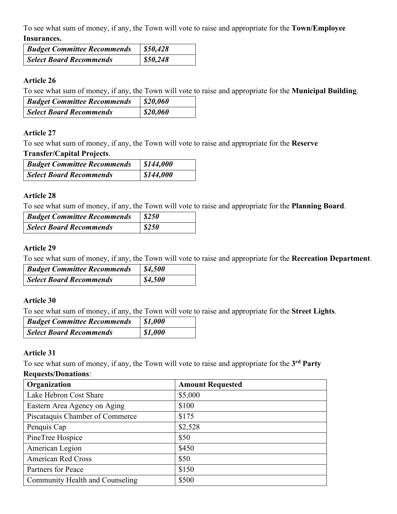To see what sum of money, if any, the Town will vote to raise and appropriate for the **Town/Employee Insurances.** 

| <b>Budget Committee Recommends</b> | \$50,428 |
|------------------------------------|----------|
| <b>Select Board Recommends</b>     | \$50,248 |

### **Article 26**

To see what sum of money, if any, the Town will vote to raise and appropriate for the **Municipal Building**.

| <b>Budget Committee Recommends</b> | \$20,060 |
|------------------------------------|----------|
| Select Board Recommends            | 820,060  |

# **Article 27**

To see what sum of money, if any, the Town will vote to raise and appropriate for the **Reserve** 

### **Transfer/Capital Projects**.

| <b>Budget Committee Recommends</b> | $\frac{1}{2}$ \$144,000 |
|------------------------------------|-------------------------|
| <b>Select Board Recommends</b>     | \$144,000               |

# **Article 28**

To see what sum of money, if any, the Town will vote to raise and appropriate for the **Planning Board**.

| <b>Budget Committee Recommends</b> | \$250               |
|------------------------------------|---------------------|
| Select Board Recommends            | $\frac{1}{2}$ \$250 |

# **Article 29**

To see what sum of money, if any, the Town will vote to raise and appropriate for the **Recreation Department**.

| <b>Budget Committee Recommends</b> | \$4,500         |
|------------------------------------|-----------------|
| Select Board Recommends            | $\vert$ \$4,500 |

### **Article 30**

To see what sum of money, if any, the Town will vote to raise and appropriate for the **Street Lights**.

| <b>Budget Committee Recommends</b> | $\vert$ \$1,000 |
|------------------------------------|-----------------|
| <b>Select Board Recommends</b>     | $\int$ \$1,000  |

### **Article 31**

To see what sum of money, if any, the Town will vote to raise and appropriate for the **3rd Party** 

### **Requests/Donations**:

| Organization                    | <b>Amount Requested</b> |
|---------------------------------|-------------------------|
| Lake Hebron Cost Share          | \$5,000                 |
| Eastern Area Agency on Aging    | \$100                   |
| Piscataquis Chamber of Commerce | \$175                   |
| Penquis Cap                     | \$2,528                 |
| PineTree Hospice                | \$50                    |
| American Legion                 | \$450                   |
| <b>American Red Cross</b>       | \$50                    |
| Partners for Peace              | \$150                   |
| Community Health and Counseling | \$500                   |